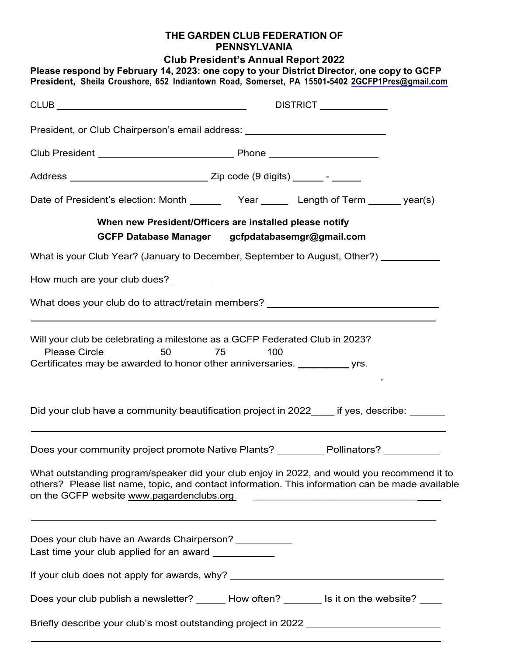## **THE GARDEN CLUB FEDERATION OF PENNSYLVANIA**

**Club President's Annual Report 2022**

|                                                                                                               | DISTRICT <u>___________</u>                                                                                                                                                                                                                                                                                              |
|---------------------------------------------------------------------------------------------------------------|--------------------------------------------------------------------------------------------------------------------------------------------------------------------------------------------------------------------------------------------------------------------------------------------------------------------------|
|                                                                                                               | President, or Club Chairperson's email address: ________________________________                                                                                                                                                                                                                                         |
|                                                                                                               |                                                                                                                                                                                                                                                                                                                          |
|                                                                                                               |                                                                                                                                                                                                                                                                                                                          |
|                                                                                                               | Date of President's election: Month _________ Year ________ Length of Term _______ year(s)                                                                                                                                                                                                                               |
|                                                                                                               | When new President/Officers are installed please notify<br>GCFP Database Manager gcfpdatabasemgr@gmail.com                                                                                                                                                                                                               |
|                                                                                                               | What is your Club Year? (January to December, September to August, Other?)                                                                                                                                                                                                                                               |
| How much are your club dues? _______                                                                          |                                                                                                                                                                                                                                                                                                                          |
|                                                                                                               | What does your club do to attract/retain members?<br>What does your club do to attract/retain members?                                                                                                                                                                                                                   |
| <b>Please Circle</b><br>50                                                                                    | Will your club be celebrating a milestone as a GCFP Federated Club in 2023?<br>75<br>100<br>Certificates may be awarded to honor other anniversaries. ____________ yrs.                                                                                                                                                  |
|                                                                                                               | Did your club have a community beautification project in 2022 if yes, describe:                                                                                                                                                                                                                                          |
|                                                                                                               | Does your community project promote Native Plants? __________ Pollinators? __________                                                                                                                                                                                                                                    |
| on the GCFP website www.pagardenclubs.org                                                                     | What outstanding program/speaker did your club enjoy in 2022, and would you recommend it to<br>others? Please list name, topic, and contact information. This information can be made available<br><u> 1989 - Johann Harry Harry Harry Harry Harry Harry Harry Harry Harry Harry Harry Harry Harry Harry Harry Harry</u> |
| Does your club have an Awards Chairperson? __________<br>Last time your club applied for an award ___________ |                                                                                                                                                                                                                                                                                                                          |
|                                                                                                               | If your club does not apply for awards, why? ___________________________________                                                                                                                                                                                                                                         |
|                                                                                                               | Does your club publish a newsletter? ______ How often? _______ Is it on the website? ____                                                                                                                                                                                                                                |
|                                                                                                               | Briefly describe your club's most outstanding project in 2022 __________________                                                                                                                                                                                                                                         |